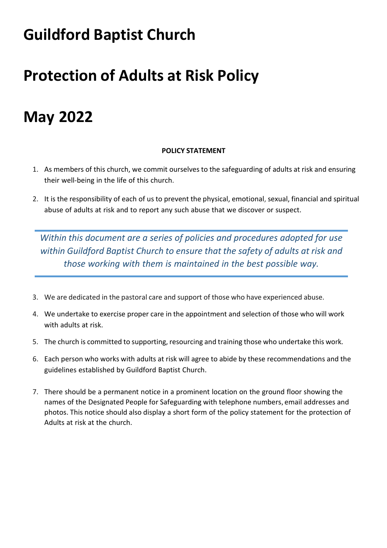# **Guildford Baptist Church**

# **Protection of Adults at Risk Policy**

# **May 2022**

# **POLICY STATEMENT**

- 1. As members of this church, we commit ourselves to the safeguarding of adults at risk and ensuring their well-being in the life of this church.
- 2. It is the responsibility of each of us to prevent the physical, emotional, sexual, financial and spiritual abuse of adults at risk and to report any such abuse that we discover or suspect.

*Within this document are a series of policies and procedures adopted for use within Guildford Baptist Church to ensure that the safety of adults at risk and those working with them is maintained in the best possible way.*

- 3. We are dedicated in the pastoral care and support of those who have experienced abuse.
- 4. We undertake to exercise proper care in the appointment and selection of those who will work with adults at risk.
- 5. The church is committed to supporting, resourcing and training those who undertake this work.
- 6. Each person who works with adults at risk will agree to abide by these recommendations and the guidelines established by Guildford Baptist Church.
- 7. There should be a permanent notice in a prominent location on the ground floor showing the names of the Designated People for Safeguarding with telephone numbers, email addresses and photos. This notice should also display a short form of the policy statement for the protection of Adults at risk at the church.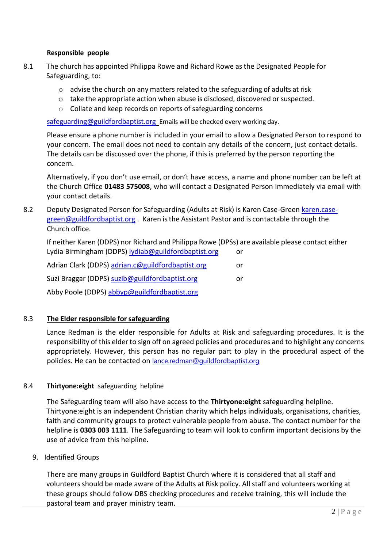## **Responsible people**

- 8.1 The church has appointed Philippa Rowe and Richard Rowe as the Designated People for Safeguarding, to:
	- $\circ$  advise the church on any matters related to the safeguarding of adults at risk
	- $\circ$  take the appropriate action when abuse is disclosed, discovered or suspected.
	- o Collate and keep records on reports of safeguarding concerns

[safeguarding@guildfordbaptist.org](mailto:safeguarding@guildfordbaptist.org) Emails will be checked every working day.

Please ensure a phone number is included in your email to allow a Designated Person to respond to your concern. The email does not need to contain any details of the concern, just contact details. The details can be discussed over the phone, if this is preferred by the person reporting the concern.

Alternatively, if you don't use email, or don't have access, a name and phone number can be left at the Church Office **01483 575008**, who will contact a Designated Person immediately via email with your contact details.

8.2 Deputy Designated Person for Safeguarding (Adults at Risk) is Karen Case-Green [karen.case](mailto:karen.case-green@guildfordbaptist.org)[green@guildfordbaptist.org](mailto:karen.case-green@guildfordbaptist.org) . Karen isthe Assistant Pastor and is contactable through the Church office.

If neither Karen (DDPS) nor Richard and Philippa Rowe (DPSs) are available please contact either Lydia Birmingham (DDPS) [lydiab@guildfordbaptist.org](mailto:lydiab@guildfordbaptist.org) or

Adrian Clark (DDPS) [adrian.c@guildfordbaptist.org](mailto:adrian.c@guildfordbaptist.org) or Suzi Braggar (DDPS) [suzib@guildfordbaptist.org](mailto:suzib@guildfordbaptist.org) or

Abby Poole (DDPS) [abbyp@guildfordbaptist.org](mailto:abbyp@guildfordbaptist.org)

# 8.3 **The Elder responsible for safeguarding**

Lance Redman is the elder responsible for Adults at Risk and safeguarding procedures. It is the responsibility of this elder to sign off on agreed policies and procedures and to highlight any concerns appropriately. However, this person has no regular part to play in the procedural aspect of the policies. He can be contacted on [lance.redman@guildfordbaptist.org](mailto:lance.redman@guildfordbaptist.org)

# 8.4 **Thirtyone:eight** safeguarding helpline

The Safeguarding team will also have access to the **Thirtyone:eight** safeguarding helpline. Thirtyone:eight is an independent Christian charity which helps individuals, organisations, charities, faith and community groups to protect vulnerable people from abuse. The contact number for the helpline is **0303 003 1111**. The Safeguarding to team will look to confirm important decisions by the use of advice from this helpline.

9. Identified Groups

There are many groups in Guildford Baptist Church where it is considered that all staff and volunteers should be made aware of the Adults at Risk policy. All staff and volunteers working at these groups should follow DBS checking procedures and receive training, this will include the pastoral team and prayer ministry team.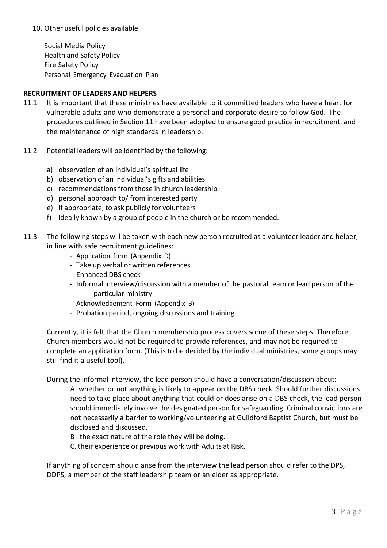## 10. Other useful policies available

Social Media Policy Health and Safety Policy Fire Safety Policy Personal Emergency Evacuation Plan

## **RECRUITMENT OF LEADERS AND HELPERS**

- 11.1 It is important that these ministries have available to it committed leaders who have a heart for vulnerable adults and who demonstrate a personal and corporate desire to follow God. The procedures outlined in Section 11 have been adopted to ensure good practice in recruitment, and the maintenance of high standards in leadership.
- 11.2 Potential leaders will be identified by the following:
	- a) observation of an individual's spiritual life
	- b) observation of an individual's gifts and abilities
	- c) recommendations from those in church leadership
	- d) personal approach to/ from interested party
	- e) if appropriate, to ask publicly for volunteers
	- f) ideally known by a group of people in the church or be recommended.
- 11.3 The following steps will be taken with each new person recruited as a volunteer leader and helper, in line with safe recruitment guidelines:
	- Application form (Appendix D)
	- Take up verbal or written references
	- Enhanced DBS check
	- Informal interview/discussion with a member of the pastoral team or lead person of the particular ministry
	- Acknowledgement Form (Appendix B)
	- Probation period, ongoing discussions and training

Currently, it is felt that the Church membership process covers some of these steps. Therefore Church members would not be required to provide references, and may not be required to complete an application form. (This is to be decided by the individual ministries, some groups may still find it a useful tool).

During the informal interview, the lead person should have a conversation/discussion about:

A. whether or not anything is likely to appear on the DBS check. Should further discussions need to take place about anything that could or does arise on a DBS check, the lead person should immediately involve the designated person for safeguarding. Criminal convictions are not necessarily a barrier to working/volunteering at Guildford Baptist Church, but must be disclosed and discussed.

B . the exact nature of the role they will be doing.

C. their experience or previous work with Adults at Risk.

If anything of concern should arise from the interview the lead person should refer to the DPS, DDPS, a member of the staff leadership team or an elder as appropriate.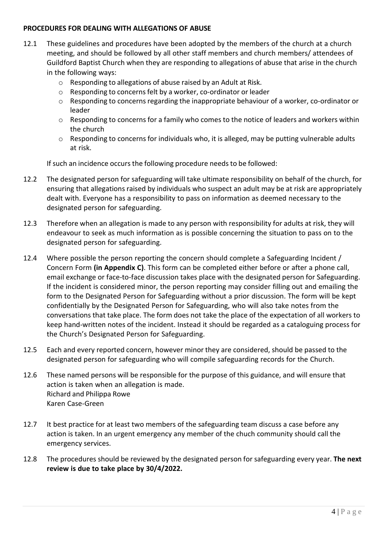## **PROCEDURES FOR DEALING WITH ALLEGATIONS OF ABUSE**

- 12.1 These guidelines and procedures have been adopted by the members of the church at a church meeting, and should be followed by all other staff members and church members/ attendees of Guildford Baptist Church when they are responding to allegations of abuse that arise in the church in the following ways:
	- o Responding to allegations of abuse raised by an Adult at Risk.
	- o Responding to concernsfelt by a worker, co-ordinator or leader
	- $\circ$  Responding to concerns regarding the inappropriate behaviour of a worker, co-ordinator or leader
	- o Responding to concerns for a family who comes to the notice of leaders and workers within the church
	- o Responding to concerns for individuals who, it is alleged, may be putting vulnerable adults at risk.

If such an incidence occurs the following procedure needs to be followed:

- 12.2 The designated person for safeguarding will take ultimate responsibility on behalf of the church, for ensuring that allegations raised by individuals who suspect an adult may be at risk are appropriately dealt with. Everyone has a responsibility to pass on information as deemed necessary to the designated person for safeguarding.
- 12.3 Therefore when an allegation is made to any person with responsibility for adults at risk, they will endeavour to seek as much information as is possible concerning the situation to pass on to the designated person for safeguarding.
- 12.4 Where possible the person reporting the concern should complete a Safeguarding Incident / Concern Form **(in Appendix C)**. This form can be completed either before or after a phone call, email exchange or face-to-face discussion takes place with the designated person for Safeguarding. If the incident is considered minor, the person reporting may consider filling out and emailing the form to the Designated Person for Safeguarding without a prior discussion. The form will be kept confidentially by the Designated Person for Safeguarding, who will also take notes from the conversations that take place. The form does not take the place of the expectation of all workers to keep hand-written notes of the incident. Instead it should be regarded as a cataloguing process for the Church's Designated Person for Safeguarding.
- 12.5 Each and every reported concern, however minor they are considered, should be passed to the designated person for safeguarding who will compile safeguarding records for the Church.
- 12.6 These named persons will be responsible for the purpose of this guidance, and will ensure that action is taken when an allegation is made. Richard and Philippa Rowe Karen Case-Green
- 12.7 It best practice for at least two members of the safeguarding team discuss a case before any action is taken. In an urgent emergency any member of the chuch community should call the emergency services.
- 12.8 The procedures should be reviewed by the designated person for safeguarding every year. **The next review is due to take place by 30/4/2022.**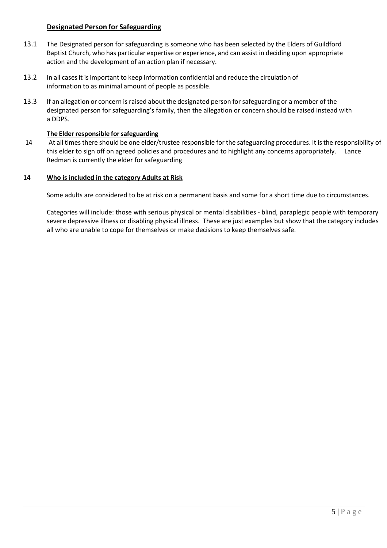## **Designated Person for Safeguarding**

- 13.1 The Designated person for safeguarding is someone who has been selected by the Elders of Guildford Baptist Church, who has particular expertise or experience, and can assist in deciding upon appropriate action and the development of an action plan if necessary.
- 13.2 In all casesit isimportant to keep information confidential and reduce the circulation of information to as minimal amount of people as possible.
- 13.3 If an allegation or concern is raised about the designated person for safeguarding or a member of the designated person for safeguarding's family, then the allegation or concern should be raised instead with a DDPS.

### **The Elder responsible for safeguarding**

14 At all timesthere should be one elder/trustee responsible for the safeguarding procedures. It isthe responsibility of this elder to sign off on agreed policies and procedures and to highlight any concerns appropriately. Lance Redman is currently the elder for safeguarding

#### **14 Who is included in the category Adults at Risk**

Some adults are considered to be at risk on a permanent basis and some for a short time due to circumstances.

Categories will include: those with serious physical or mental disabilities - blind, paraplegic people with temporary severe depressive illness or disabling physical illness. These are just examples but show that the category includes all who are unable to cope for themselves or make decisions to keep themselves safe.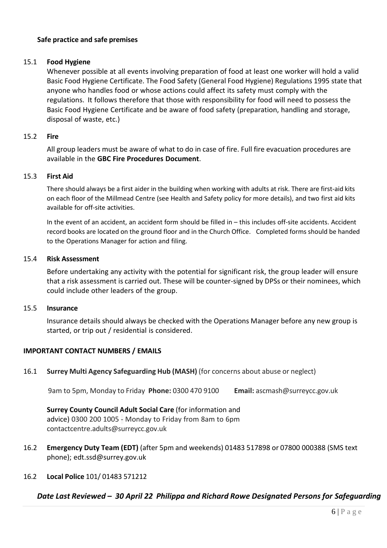## **Safe practice and safe premises**

### 15.1 **Food Hygiene**

Whenever possible at all events involving preparation of food at least one worker will hold a valid Basic Food Hygiene Certificate. The Food Safety (General Food Hygiene) Regulations 1995 state that anyone who handles food or whose actions could affect its safety must comply with the regulations. It follows therefore that those with responsibility for food will need to possess the Basic Food Hygiene Certificate and be aware of food safety (preparation, handling and storage, disposal of waste, etc.)

#### 15.2 **Fire**

All group leaders must be aware of what to do in case of fire. Full fire evacuation procedures are available in the **GBC Fire Procedures Document**.

#### 15.3 **First Aid**

There should always be a first aider in the building when working with adults at risk. There are first-aid kits on each floor of the Millmead Centre (see Health and Safety policy for more details), and two first aid kits available for off-site activities.

In the event of an accident, an accident form should be filled in – this includes off-site accidents. Accident record books are located on the ground floor and in the Church Office. Completed forms should be handed to the Operations Manager for action and filing.

#### 15.4 **Risk Assessment**

Before undertaking any activity with the potential for significant risk, the group leader will ensure that a risk assessment is carried out. These will be counter-signed by DPSs or their nominees, which could include other leaders of the group.

#### 15.5 **Insurance**

Insurance details should always be checked with the Operations Manager before any new group is started, or trip out / residential is considered.

## **IMPORTANT CONTACT NUMBERS / EMAILS**

## 16.1 **Surrey Multi Agency Safeguarding Hub (MASH)** (for concerns about abuse or neglect)

9am to 5pm, Monday to Friday **Phone:** 0300 470 9100 **Email:** [ascmash@surreycc.gov.uk](mailto:ascmash@surreycc.gov.uk)

**Surrey County Council Adult Social Care** (for information and advice) 0300 200 1005 - Monday to Friday from 8am to 6pm [contactcentre.adults@surreycc.gov.uk](mailto:contactcentre.adults@surreycc.gov.uk)

- 16.2 **Emergency Duty Team (EDT)** (after 5pm and weekends) 01483 517898 or 07800 000388 (SMS text phone); [edt.ssd@surrey.gov.uk](mailto:edt.ssd@surrey.gov.uk)
- 16.2 **Local Police** 101/ 01483 571212

# *Date Last Reviewed – 30 April 22 Philippa and Richard Rowe Designated Persons for Safeguarding*